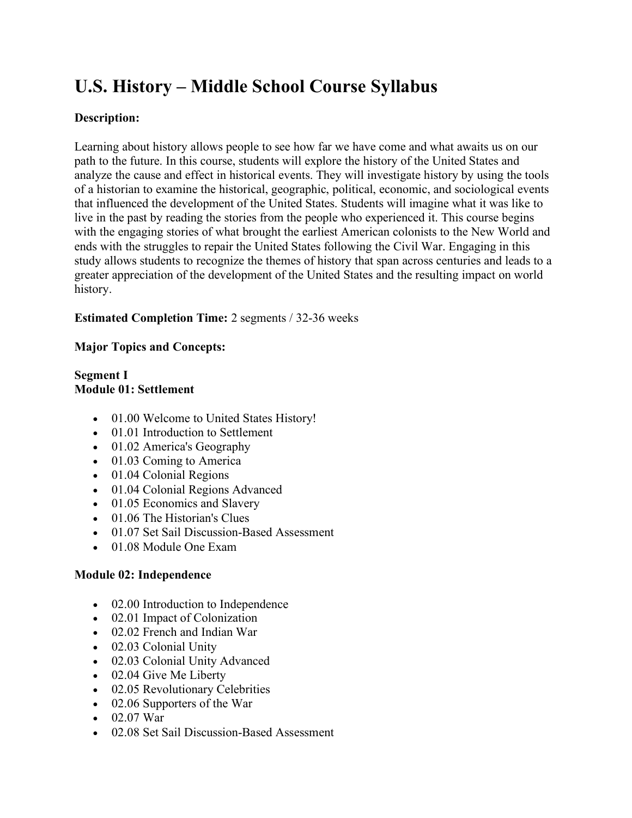# **U.S. History – Middle School Course Syllabus**

## **Description:**

Learning about history allows people to see how far we have come and what awaits us on our path to the future. In this course, students will explore the history of the United States and analyze the cause and effect in historical events. They will investigate history by using the tools of a historian to examine the historical, geographic, political, economic, and sociological events that influenced the development of the United States. Students will imagine what it was like to live in the past by reading the stories from the people who experienced it. This course begins with the engaging stories of what brought the earliest American colonists to the New World and ends with the struggles to repair the United States following the Civil War. Engaging in this study allows students to recognize the themes of history that span across centuries and leads to a greater appreciation of the development of the United States and the resulting impact on world history.

## **Estimated Completion Time:** 2 segments / 32-36 weeks

## **Major Topics and Concepts:**

## **Segment I Module 01: Settlement**

- 01.00 Welcome to United States History!
- 01.01 Introduction to Settlement
- 01.02 America's Geography
- 01.03 Coming to America
- 01.04 Colonial Regions
- 01.04 Colonial Regions Advanced
- 01.05 Economics and Slavery
- 01.06 The Historian's Clues
- 01.07 Set Sail Discussion-Based Assessment
- 01.08 Module One Exam

## **Module 02: Independence**

- 02.00 Introduction to Independence
- 02.01 Impact of Colonization
- 02.02 French and Indian War
- 02.03 Colonial Unity
- 02.03 Colonial Unity Advanced
- 02.04 Give Me Liberty
- 02.05 Revolutionary Celebrities
- 02.06 Supporters of the War
- $02.07$  War
- 02.08 Set Sail Discussion-Based Assessment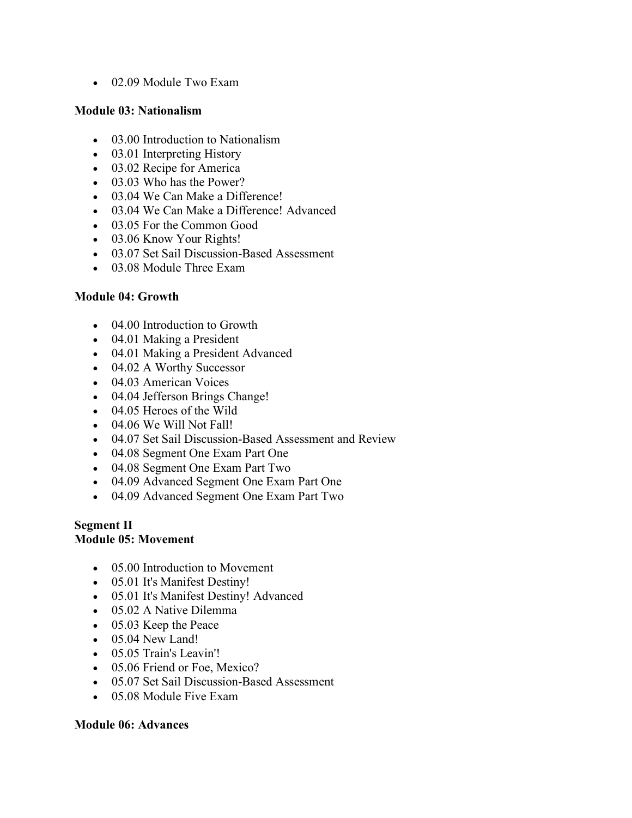• 02.09 Module Two Exam

#### **Module 03: Nationalism**

- 03.00 Introduction to Nationalism
- 03.01 Interpreting History
- 03.02 Recipe for America
- 03.03 Who has the Power?
- 03.04 We Can Make a Difference!
- 03.04 We Can Make a Difference! Advanced
- 03.05 For the Common Good
- 03.06 Know Your Rights!
- 03.07 Set Sail Discussion-Based Assessment
- 03.08 Module Three Exam

### **Module 04: Growth**

- 04.00 Introduction to Growth
- 04.01 Making a President
- 04.01 Making a President Advanced
- 04.02 A Worthy Successor
- 04.03 American Voices
- 04.04 Jefferson Brings Change!
- 04.05 Heroes of the Wild
- 04.06 We Will Not Fall!
- 04.07 Set Sail Discussion-Based Assessment and Review
- 04.08 Segment One Exam Part One
- 04.08 Segment One Exam Part Two
- 04.09 Advanced Segment One Exam Part One
- 04.09 Advanced Segment One Exam Part Two

#### **Segment II Module 05: Movement**

- 05.00 Introduction to Movement
- 05.01 It's Manifest Destiny!
- 05.01 It's Manifest Destiny! Advanced
- 05.02 A Native Dilemma
- 05.03 Keep the Peace
- 05.04 New Land!
- 05.05 Train's Leavin'!
- 05.06 Friend or Foe, Mexico?
- 05.07 Set Sail Discussion-Based Assessment
- 05.08 Module Five Exam

#### **Module 06: Advances**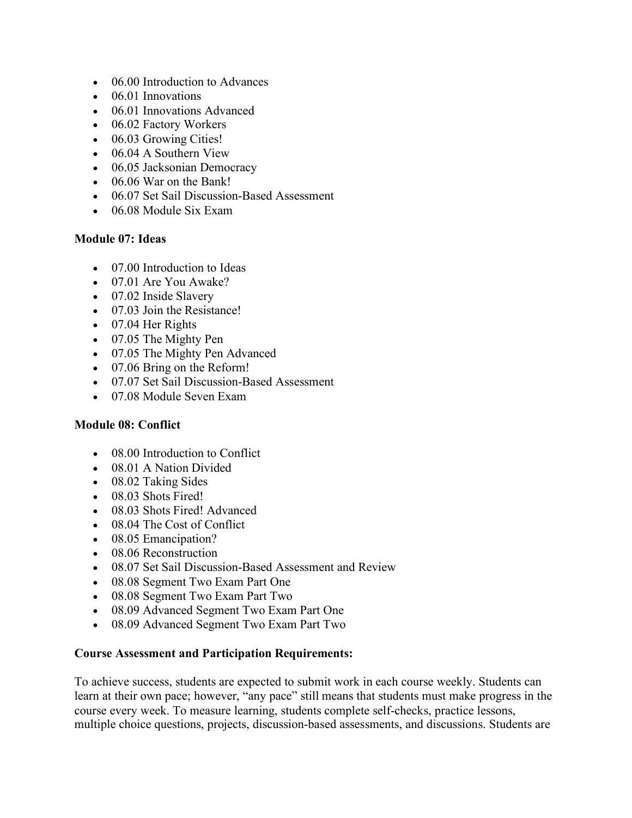- 06.00 Introduction to Advances
- 06.01 Innovations
- 06.01 Innovations Advanced
- 06.02 Factory Workers
- 06.03 Growing Cities!
- 06.04 A Southern View
- 06.05 Jacksonian Democracy
- 06.06 War on the Bank!
- 06.07 Set Sail Discussion-Based Assessment
- 06.08 Module Six Exam

#### **Module 07: Ideas**

- 07.00 Introduction to Ideas
- 07.01 Are You Awake?
- 07.02 Inside Slavery
- 07.03 Join the Resistance!
- 07.04 Her Rights
- 07.05 The Mighty Pen
- 07.05 The Mighty Pen Advanced
- 07.06 Bring on the Reform!
- 07.07 Set Sail Discussion-Based Assessment
- 07.08 Module Seven Exam

#### **Module 08: Conflict**

- 08.00 Introduction to Conflict
- 08.01 A Nation Divided
- 08.02 Taking Sides
- 08.03 Shots Fired!
- 08.03 Shots Fired! Advanced
- 08.04 The Cost of Conflict
- 08.05 Emancipation?
- 08.06 Reconstruction
- 08.07 Set Sail Discussion-Based Assessment and Review
- 08.08 Segment Two Exam Part One
- 08.08 Segment Two Exam Part Two
- 08.09 Advanced Segment Two Exam Part One
- 08.09 Advanced Segment Two Exam Part Two

#### **Course Assessment and Participation Requirements:**

To achieve success, students are expected to submit work in each course weekly. Students can learn at their own pace; however, "any pace" still means that students must make progress in the course every week. To measure learning, students complete self-checks, practice lessons, multiple choice questions, projects, discussion-based assessments, and discussions. Students are